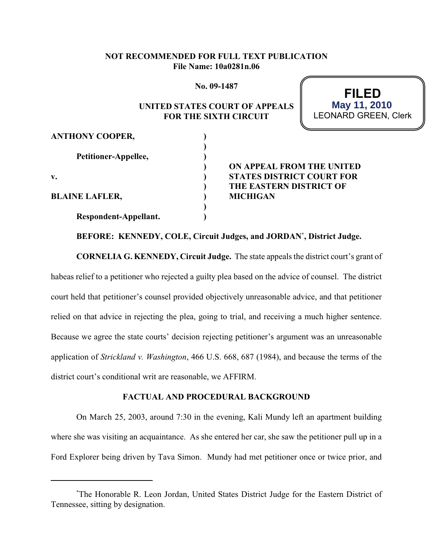# **NOT RECOMMENDED FOR FULL TEXT PUBLICATION File Name: 10a0281n.06**

**No. 09-1487**

# **UNITED STATES COURT OF APPEALS FOR THE SIXTH CIRCUIT**

| FILED                       |
|-----------------------------|
| May 11, 2010                |
| <b>LEONARD GREEN, Clerk</b> |

| <b>ANTHONY COOPER,</b> |    |
|------------------------|----|
|                        |    |
| Petitioner-Appellee,   |    |
|                        | DР |
| v.                     | SТ |
|                        | TF |
| <b>BLAINE LAFLER,</b>  |    |
|                        |    |
| Respondent-Appellant.  |    |

**) ON APPEAL FROM THE UNITED VATES DISTRICT COURT FOR IE EASTERN DISTRICT OF**  $R$ **BLIGAN** 

**BEFORE: KENNEDY, COLE, Circuit Judges, and JORDAN , District Judge. \***

**CORNELIA G. KENNEDY, Circuit Judge.** The state appeals the district court's grant of habeas relief to a petitioner who rejected a guilty plea based on the advice of counsel. The district court held that petitioner's counsel provided objectively unreasonable advice, and that petitioner relied on that advice in rejecting the plea, going to trial, and receiving a much higher sentence. Because we agree the state courts' decision rejecting petitioner's argument was an unreasonable application of *Strickland v. Washington*, 466 U.S. 668, 687 (1984), and because the terms of the district court's conditional writ are reasonable, we AFFIRM.

## **FACTUAL AND PROCEDURAL BACKGROUND**

On March 25, 2003, around 7:30 in the evening, Kali Mundy left an apartment building where she was visiting an acquaintance. As she entered her car, she saw the petitioner pull up in a Ford Explorer being driven by Tava Simon. Mundy had met petitioner once or twice prior, and

The Honorable R. Leon Jordan, United States District Judge for the Eastern District of \* Tennessee, sitting by designation.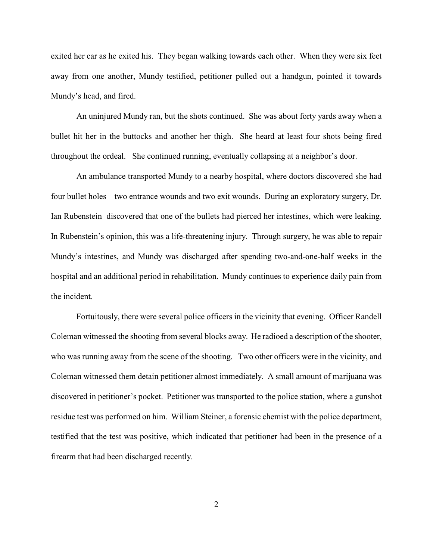exited her car as he exited his. They began walking towards each other. When they were six feet away from one another, Mundy testified, petitioner pulled out a handgun, pointed it towards Mundy's head, and fired.

An uninjured Mundy ran, but the shots continued. She was about forty yards away when a bullet hit her in the buttocks and another her thigh. She heard at least four shots being fired throughout the ordeal. She continued running, eventually collapsing at a neighbor's door.

An ambulance transported Mundy to a nearby hospital, where doctors discovered she had four bullet holes – two entrance wounds and two exit wounds. During an exploratory surgery, Dr. Ian Rubenstein discovered that one of the bullets had pierced her intestines, which were leaking. In Rubenstein's opinion, this was a life-threatening injury. Through surgery, he was able to repair Mundy's intestines, and Mundy was discharged after spending two-and-one-half weeks in the hospital and an additional period in rehabilitation. Mundy continues to experience daily pain from the incident.

Fortuitously, there were several police officers in the vicinity that evening. Officer Randell Coleman witnessed the shooting from several blocks away. He radioed a description of the shooter, who was running away from the scene of the shooting. Two other officers were in the vicinity, and Coleman witnessed them detain petitioner almost immediately. A small amount of marijuana was discovered in petitioner's pocket. Petitioner was transported to the police station, where a gunshot residue test was performed on him. William Steiner, a forensic chemist with the police department, testified that the test was positive, which indicated that petitioner had been in the presence of a firearm that had been discharged recently.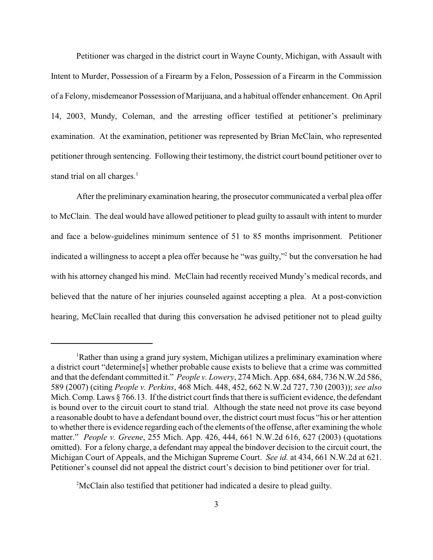Petitioner was charged in the district court in Wayne County, Michigan, with Assault with Intent to Murder, Possession of a Firearm by a Felon, Possession of a Firearm in the Commission of a Felony, misdemeanor Possession of Marijuana, and a habitual offender enhancement. On April 14, 2003, Mundy, Coleman, and the arresting officer testified at petitioner's preliminary examination. At the examination, petitioner was represented by Brian McClain, who represented petitioner through sentencing. Following their testimony, the district court bound petitioner over to stand trial on all charges.<sup>1</sup>

After the preliminary examination hearing, the prosecutor communicated a verbal plea offer to McClain. The deal would have allowed petitioner to plead guilty to assault with intent to murder and face a below-guidelines minimum sentence of 51 to 85 months imprisonment. Petitioner indicated a willingness to accept a plea offer because he "was guilty," but the conversation he had with his attorney changed his mind. McClain had recently received Mundy's medical records, and believed that the nature of her injuries counseled against accepting a plea. At a post-conviction hearing, McClain recalled that during this conversation he advised petitioner not to plead guilty

<sup>&</sup>lt;sup>1</sup>Rather than using a grand jury system, Michigan utilizes a preliminary examination where a district court "determine[s] whether probable cause exists to believe that a crime was committed and that the defendant committed it." *People v. Lowery*, 274 Mich. App. 684, 684, 736 N.W.2d 586, 589 (2007) (citing *People v. Perkins*, 468 Mich. 448, 452, 662 N.W.2d 727, 730 (2003)); *see also* Mich. Comp. Laws § 766.13. If the district court finds that there is sufficient evidence, the defendant is bound over to the circuit court to stand trial. Although the state need not prove its case beyond a reasonable doubt to have a defendant bound over, the district court must focus "his or her attention to whether there is evidence regarding each ofthe elements of the offense, after examining the whole matter." *People v. Greene*, 255 Mich. App. 426, 444, 661 N.W.2d 616, 627 (2003) (quotations omitted). For a felony charge, a defendant may appeal the bindover decision to the circuit court, the Michigan Court of Appeals, and the Michigan Supreme Court. *See id.* at 434, 661 N.W.2d at 621. Petitioner's counsel did not appeal the district court's decision to bind petitioner over for trial.

 $<sup>2</sup>$ McClain also testified that petitioner had indicated a desire to plead guilty.</sup>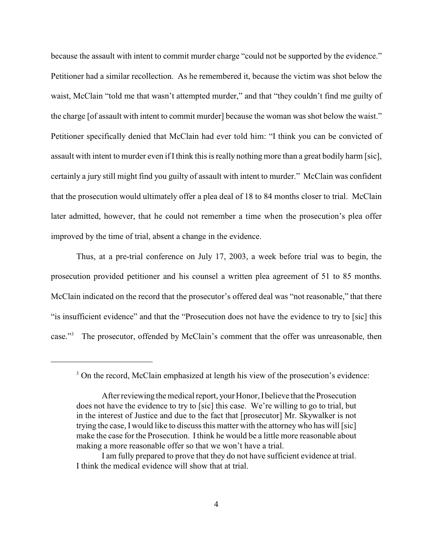because the assault with intent to commit murder charge "could not be supported by the evidence." Petitioner had a similar recollection. As he remembered it, because the victim was shot below the waist, McClain "told me that wasn't attempted murder," and that "they couldn't find me guilty of the charge [of assault with intent to commit murder] because the woman was shot below the waist." Petitioner specifically denied that McClain had ever told him: "I think you can be convicted of assault with intent to murder even if I think this is really nothing more than a great bodily harm [sic], certainly a jury still might find you guilty of assault with intent to murder." McClain was confident that the prosecution would ultimately offer a plea deal of 18 to 84 months closer to trial. McClain later admitted, however, that he could not remember a time when the prosecution's plea offer improved by the time of trial, absent a change in the evidence.

Thus, at a pre-trial conference on July 17, 2003, a week before trial was to begin, the prosecution provided petitioner and his counsel a written plea agreement of 51 to 85 months. McClain indicated on the record that the prosecutor's offered deal was "not reasonable," that there "is insufficient evidence" and that the "Prosecution does not have the evidence to try to [sic] this case."<sup>3</sup> The prosecutor, offended by McClain's comment that the offer was unreasonable, then

<sup>&</sup>lt;sup>3</sup> On the record, McClain emphasized at length his view of the prosecution's evidence:

After reviewing the medical report, your Honor, I believe that the Prosecution does not have the evidence to try to [sic] this case. We're willing to go to trial, but in the interest of Justice and due to the fact that [prosecutor] Mr. Skywalker is not trying the case, I would like to discuss this matter with the attorney who has will [sic] make the case for the Prosecution. Ithink he would be a little more reasonable about making a more reasonable offer so that we won't have a trial.

I am fully prepared to prove that they do not have sufficient evidence at trial. I think the medical evidence will show that at trial.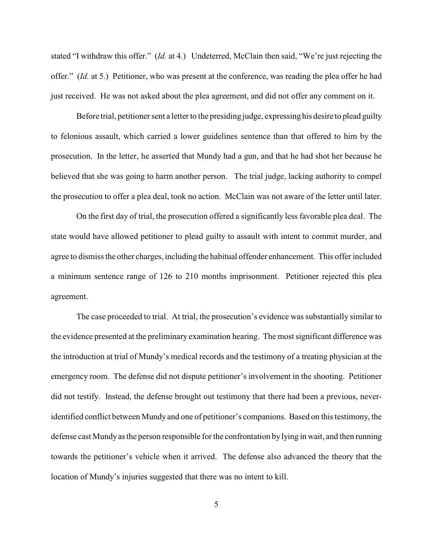stated "I withdraw this offer." (*Id.* at 4.) Undeterred, McClain then said, "We're just rejecting the offer." (*Id.* at 5.) Petitioner, who was present at the conference, was reading the plea offer he had just received. He was not asked about the plea agreement, and did not offer any comment on it.

Before trial, petitioner sent a letter to the presiding judge, expressing his desire to plead guilty to felonious assault, which carried a lower guidelines sentence than that offered to him by the prosecution. In the letter, he asserted that Mundy had a gun, and that he had shot her because he believed that she was going to harm another person. The trial judge, lacking authority to compel the prosecution to offer a plea deal, took no action. McClain was not aware of the letter until later.

On the first day of trial, the prosecution offered a significantly less favorable plea deal. The state would have allowed petitioner to plead guilty to assault with intent to commit murder, and agree to dismiss the other charges, including the habitual offender enhancement. This offer included a minimum sentence range of 126 to 210 months imprisonment. Petitioner rejected this plea agreement.

The case proceeded to trial. At trial, the prosecution's evidence was substantially similar to the evidence presented at the preliminary examination hearing. The most significant difference was the introduction at trial of Mundy's medical records and the testimony of a treating physician at the emergency room. The defense did not dispute petitioner's involvement in the shooting. Petitioner did not testify. Instead, the defense brought out testimony that there had been a previous, neveridentified conflict between Mundy and one of petitioner's companions. Based on this testimony, the defense cast Mundyas the person responsible for the confrontation by lying in wait, and then running towards the petitioner's vehicle when it arrived. The defense also advanced the theory that the location of Mundy's injuries suggested that there was no intent to kill.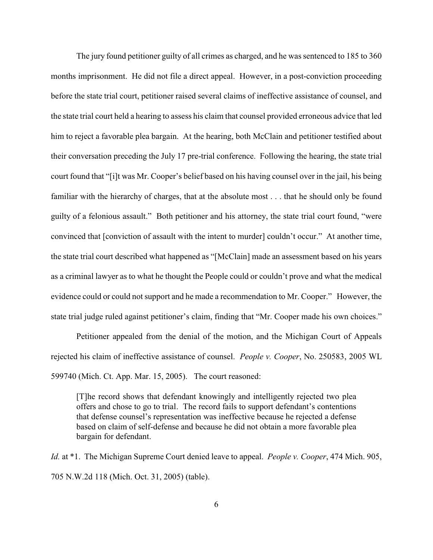The jury found petitioner guilty of all crimes as charged, and he was sentenced to 185 to 360 months imprisonment. He did not file a direct appeal. However, in a post-conviction proceeding before the state trial court, petitioner raised several claims of ineffective assistance of counsel, and the state trial court held a hearing to assess his claim that counsel provided erroneous advice that led him to reject a favorable plea bargain. At the hearing, both McClain and petitioner testified about their conversation preceding the July 17 pre-trial conference. Following the hearing, the state trial court found that "[i]t was Mr. Cooper's belief based on his having counsel over in the jail, his being familiar with the hierarchy of charges, that at the absolute most . . . that he should only be found guilty of a felonious assault." Both petitioner and his attorney, the state trial court found, "were convinced that [conviction of assault with the intent to murder] couldn't occur." At another time, the state trial court described what happened as "[McClain] made an assessment based on his years as a criminal lawyer as to what he thought the People could or couldn't prove and what the medical evidence could or could not support and he made a recommendation to Mr. Cooper." However, the state trial judge ruled against petitioner's claim, finding that "Mr. Cooper made his own choices."

Petitioner appealed from the denial of the motion, and the Michigan Court of Appeals rejected his claim of ineffective assistance of counsel. *People v. Cooper*, No. 250583, 2005 WL 599740 (Mich. Ct. App. Mar. 15, 2005). The court reasoned:

[T]he record shows that defendant knowingly and intelligently rejected two plea offers and chose to go to trial. The record fails to support defendant's contentions that defense counsel's representation was ineffective because he rejected a defense based on claim of self-defense and because he did not obtain a more favorable plea bargain for defendant.

*Id.* at \*1. The Michigan Supreme Court denied leave to appeal. *People v. Cooper*, 474 Mich. 905, 705 N.W.2d 118 (Mich. Oct. 31, 2005) (table).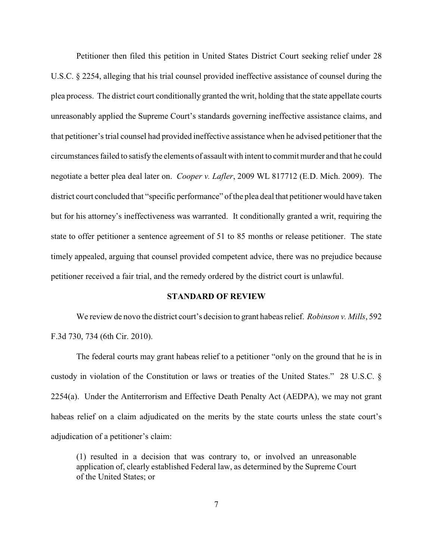Petitioner then filed this petition in United States District Court seeking relief under 28 U.S.C. § 2254, alleging that his trial counsel provided ineffective assistance of counsel during the plea process. The district court conditionally granted the writ, holding that the state appellate courts unreasonably applied the Supreme Court's standards governing ineffective assistance claims, and that petitioner's trial counsel had provided ineffective assistance when he advised petitioner that the circumstances failed to satisfy the elements of assault with intent to commit murder and that he could negotiate a better plea deal later on. *Cooper v. Lafler*, 2009 WL 817712 (E.D. Mich. 2009). The district court concluded that "specific performance" of the plea deal that petitioner would have taken but for his attorney's ineffectiveness was warranted. It conditionally granted a writ, requiring the state to offer petitioner a sentence agreement of 51 to 85 months or release petitioner. The state timely appealed, arguing that counsel provided competent advice, there was no prejudice because petitioner received a fair trial, and the remedy ordered by the district court is unlawful.

### **STANDARD OF REVIEW**

We review de novo the district court's decision to grant habeas relief. *Robinson v. Mills*, 592 F.3d 730, 734 (6th Cir. 2010).

The federal courts may grant habeas relief to a petitioner "only on the ground that he is in custody in violation of the Constitution or laws or treaties of the United States." 28 U.S.C. § 2254(a). Under the Antiterrorism and Effective Death Penalty Act (AEDPA), we may not grant habeas relief on a claim adjudicated on the merits by the state courts unless the state court's adjudication of a petitioner's claim:

(1) resulted in a decision that was contrary to, or involved an unreasonable application of, clearly established Federal law, as determined by the Supreme Court of the United States; or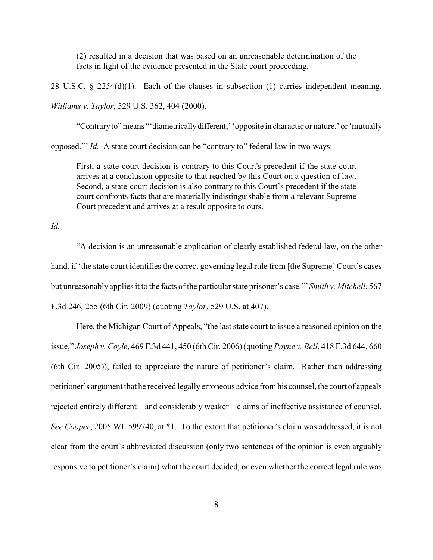(2) resulted in a decision that was based on an unreasonable determination of the facts in light of the evidence presented in the State court proceeding.

28 U.S.C.  $\S$  2254(d)(1). Each of the clauses in subsection (1) carries independent meaning. *Williams v. Taylor*, 529 U.S. 362, 404 (2000).

"Contrary to" means "'diametrically different,' 'opposite in character or nature,' or 'mutually

opposed.'" *Id.* A state court decision can be "contrary to" federal law in two ways:

First, a state-court decision is contrary to this Court's precedent if the state court arrives at a conclusion opposite to that reached by this Court on a question of law. Second, a state-court decision is also contrary to this Court's precedent if the state court confronts facts that are materially indistinguishable from a relevant Supreme Court precedent and arrives at a result opposite to ours.

*Id.*

"A decision is an unreasonable application of clearly established federal law, on the other hand, if 'the state court identifies the correct governing legal rule from [the Supreme] Court's cases but unreasonably applies it to the facts of the particular state prisoner's case.'" *Smith v. Mitchell*, 567 F.3d 246, 255 (6th Cir. 2009) (quoting *Taylor*, 529 U.S. at 407).

Here, the Michigan Court of Appeals, "the last state court to issue a reasoned opinion on the issue," *Joseph v. Coyle*, 469 F.3d 441, 450 (6th Cir. 2006) (quoting *Payne v. Bell*, 418 F.3d 644, 660 (6th Cir. 2005)), failed to appreciate the nature of petitioner's claim. Rather than addressing petitioner's argument that he received legallyerroneous advice from his counsel, the court of appeals rejected entirely different – and considerably weaker – claims of ineffective assistance of counsel. *See Cooper*, 2005 WL 599740, at \*1. To the extent that petitioner's claim was addressed, it is not clear from the court's abbreviated discussion (only two sentences of the opinion is even arguably responsive to petitioner's claim) what the court decided, or even whether the correct legal rule was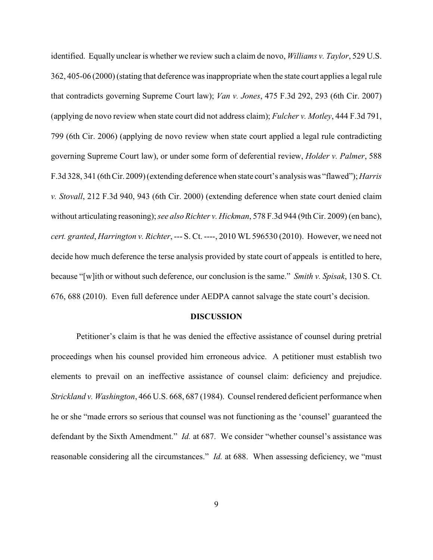identified. Equally unclear is whether we review such a claim de novo, *Williams v. Taylor*, 529 U.S. 362, 405-06 (2000) (stating that deference was inappropriate when the state court applies a legal rule that contradicts governing Supreme Court law); *Van v. Jones*, 475 F.3d 292, 293 (6th Cir. 2007) (applying de novo review when state court did not address claim); *Fulcher v. Motley*, 444 F.3d 791, 799 (6th Cir. 2006) (applying de novo review when state court applied a legal rule contradicting governing Supreme Court law), or under some form of deferential review, *Holder v. Palmer*, 588 F.3d 328, 341 (6th Cir. 2009) (extending deference when state court's analysis was "flawed");*Harris v. Stovall*, 212 F.3d 940, 943 (6th Cir. 2000) (extending deference when state court denied claim without articulating reasoning);*see also Richter v. Hickman*, 578 F.3d 944 (9th Cir. 2009) (en banc), *cert. granted*, *Harrington v. Richter*, --- S. Ct. ----, 2010 WL 596530 (2010). However, we need not decide how much deference the terse analysis provided by state court of appeals is entitled to here, because "[w]ith or without such deference, our conclusion is the same." *Smith v. Spisak*, 130 S. Ct. 676, 688 (2010). Even full deference under AEDPA cannot salvage the state court's decision.

#### **DISCUSSION**

Petitioner's claim is that he was denied the effective assistance of counsel during pretrial proceedings when his counsel provided him erroneous advice. A petitioner must establish two elements to prevail on an ineffective assistance of counsel claim: deficiency and prejudice. *Strickland v. Washington*, 466 U.S. 668, 687 (1984). Counsel rendered deficient performance when he or she "made errors so serious that counsel was not functioning as the 'counsel' guaranteed the defendant by the Sixth Amendment." *Id.* at 687. We consider "whether counsel's assistance was reasonable considering all the circumstances." *Id.* at 688. When assessing deficiency, we "must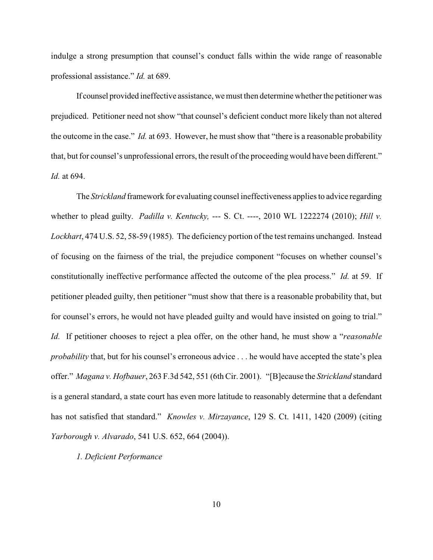indulge a strong presumption that counsel's conduct falls within the wide range of reasonable professional assistance." *Id.* at 689.

If counsel provided ineffective assistance, we must then determine whether the petitioner was prejudiced. Petitioner need not show "that counsel's deficient conduct more likely than not altered the outcome in the case." *Id.* at 693. However, he must show that "there is a reasonable probability that, but for counsel's unprofessional errors, the result of the proceeding would have been different." *Id.* at 694.

The *Strickland* framework for evaluating counsel ineffectiveness applies to advice regarding whether to plead guilty. *Padilla v. Kentucky,* --- S. Ct. ----, 2010 WL 1222274 (2010); *Hill v. Lockhart*, 474 U.S. 52, 58-59 (1985). The deficiency portion of the test remains unchanged. Instead of focusing on the fairness of the trial, the prejudice component "focuses on whether counsel's constitutionally ineffective performance affected the outcome of the plea process." *Id.* at 59. If petitioner pleaded guilty, then petitioner "must show that there is a reasonable probability that, but for counsel's errors, he would not have pleaded guilty and would have insisted on going to trial." *Id.* If petitioner chooses to reject a plea offer, on the other hand, he must show a "*reasonable probability* that, but for his counsel's erroneous advice . . . he would have accepted the state's plea offer." *Magana v. Hofbauer*, 263 F.3d 542, 551 (6th Cir. 2001). "[B]ecause the *Strickland* standard is a general standard, a state court has even more latitude to reasonably determine that a defendant has not satisfied that standard." *Knowles v. Mirzayance*, 129 S. Ct. 1411, 1420 (2009) (citing *Yarborough v. Alvarado*, 541 U.S. 652, 664 (2004)).

## *1. Deficient Performance*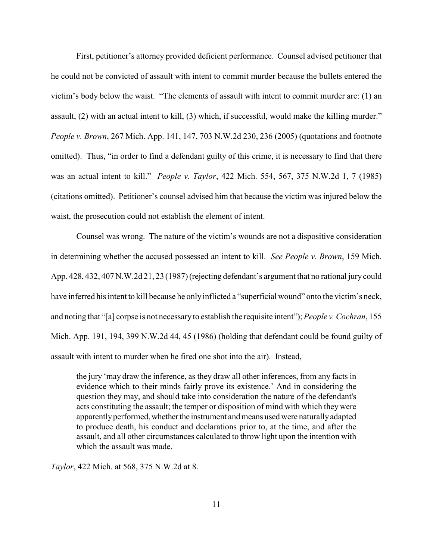First, petitioner's attorney provided deficient performance. Counsel advised petitioner that he could not be convicted of assault with intent to commit murder because the bullets entered the victim's body below the waist. "The elements of assault with intent to commit murder are: (1) an assault, (2) with an actual intent to kill, (3) which, if successful, would make the killing murder." *People v. Brown*, 267 Mich. App. 141, 147, 703 N.W.2d 230, 236 (2005) (quotations and footnote omitted). Thus, "in order to find a defendant guilty of this crime, it is necessary to find that there was an actual intent to kill." *People v. Taylor*, 422 Mich. 554, 567, 375 N.W.2d 1, 7 (1985) (citations omitted). Petitioner's counsel advised him that because the victim was injured below the waist, the prosecution could not establish the element of intent.

Counsel was wrong. The nature of the victim's wounds are not a dispositive consideration in determining whether the accused possessed an intent to kill. *See People v. Brown*, 159 Mich. App. 428, 432, 407 N.W.2d 21, 23 (1987) (rejecting defendant's argument that no rational jury could have inferred his intent to kill because he only inflicted a "superficial wound" onto the victim's neck, and noting that "[a] corpse is not necessary to establish the requisite intent"); *People v. Cochran*, 155 Mich. App. 191, 194, 399 N.W.2d 44, 45 (1986) (holding that defendant could be found guilty of assault with intent to murder when he fired one shot into the air). Instead,

the jury 'may draw the inference, as they draw all other inferences, from any facts in evidence which to their minds fairly prove its existence.' And in considering the question they may, and should take into consideration the nature of the defendant's acts constituting the assault; the temper or disposition of mind with which they were apparently performed, whether the instrument and means used were naturally adapted to produce death, his conduct and declarations prior to, at the time, and after the assault, and all other circumstances calculated to throw light upon the intention with which the assault was made.

*Taylor*, 422 Mich. at 568, 375 N.W.2d at 8.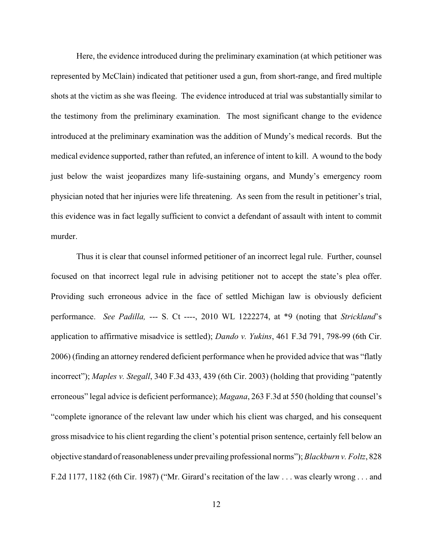Here, the evidence introduced during the preliminary examination (at which petitioner was represented by McClain) indicated that petitioner used a gun, from short-range, and fired multiple shots at the victim as she was fleeing. The evidence introduced at trial was substantially similar to the testimony from the preliminary examination. The most significant change to the evidence introduced at the preliminary examination was the addition of Mundy's medical records. But the medical evidence supported, rather than refuted, an inference of intent to kill. A wound to the body just below the waist jeopardizes many life-sustaining organs, and Mundy's emergency room physician noted that her injuries were life threatening. As seen from the result in petitioner's trial, this evidence was in fact legally sufficient to convict a defendant of assault with intent to commit murder.

Thus it is clear that counsel informed petitioner of an incorrect legal rule. Further, counsel focused on that incorrect legal rule in advising petitioner not to accept the state's plea offer. Providing such erroneous advice in the face of settled Michigan law is obviously deficient performance. *See Padilla,* --- S. Ct ----, 2010 WL 1222274, at \*9 (noting that *Strickland*'s application to affirmative misadvice is settled); *Dando v. Yukins*, 461 F.3d 791, 798-99 (6th Cir. 2006) (finding an attorney rendered deficient performance when he provided advice that was "flatly incorrect"); *Maples v. Stegall*, 340 F.3d 433, 439 (6th Cir. 2003) (holding that providing "patently erroneous" legal advice is deficient performance); *Magana*, 263 F.3d at 550 (holding that counsel's "complete ignorance of the relevant law under which his client was charged, and his consequent gross misadvice to his client regarding the client's potential prison sentence, certainly fell below an objective standard of reasonableness under prevailing professional norms"); *Blackburn v. Foltz*, 828 F.2d 1177, 1182 (6th Cir. 1987) ("Mr. Girard's recitation of the law . . . was clearly wrong . . . and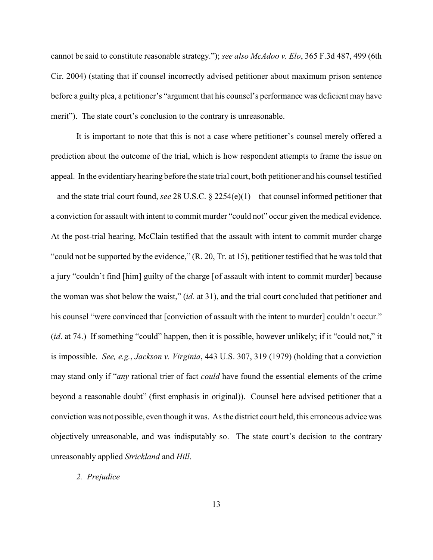cannot be said to constitute reasonable strategy."); *see also McAdoo v. Elo*, 365 F.3d 487, 499 (6th Cir. 2004) (stating that if counsel incorrectly advised petitioner about maximum prison sentence before a guilty plea, a petitioner's "argument that his counsel's performance was deficient may have merit"). The state court's conclusion to the contrary is unreasonable.

It is important to note that this is not a case where petitioner's counsel merely offered a prediction about the outcome of the trial, which is how respondent attempts to frame the issue on appeal. In the evidentiary hearing before the state trial court, both petitioner and his counsel testified – and the state trial court found, *see* 28 U.S.C. § 2254(e)(1) – that counsel informed petitioner that a conviction for assault with intent to commit murder "could not" occur given the medical evidence. At the post-trial hearing, McClain testified that the assault with intent to commit murder charge "could not be supported by the evidence," (R. 20, Tr. at 15), petitioner testified that he was told that a jury "couldn't find [him] guilty of the charge [of assault with intent to commit murder] because the woman was shot below the waist," (*id.* at 31), and the trial court concluded that petitioner and his counsel "were convinced that [conviction of assault with the intent to murder] couldn't occur." (*id*. at 74.) If something "could" happen, then it is possible, however unlikely; if it "could not," it is impossible. *See, e.g.*, *Jackson v. Virginia*, 443 U.S. 307, 319 (1979) (holding that a conviction may stand only if "*any* rational trier of fact *could* have found the essential elements of the crime beyond a reasonable doubt" (first emphasis in original)). Counsel here advised petitioner that a conviction was not possible, even though it was. As the district court held, this erroneous advice was objectively unreasonable, and was indisputably so. The state court's decision to the contrary unreasonably applied *Strickland* and *Hill*.

### *2. Prejudice*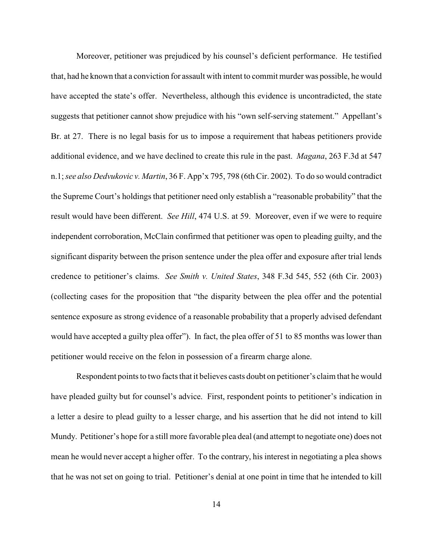Moreover, petitioner was prejudiced by his counsel's deficient performance. He testified that, had he known that a conviction for assault with intent to commit murder was possible, he would have accepted the state's offer. Nevertheless, although this evidence is uncontradicted, the state suggests that petitioner cannot show prejudice with his "own self-serving statement." Appellant's Br. at 27. There is no legal basis for us to impose a requirement that habeas petitioners provide additional evidence, and we have declined to create this rule in the past. *Magana*, 263 F.3d at 547 n.1; *see also Dedvukovic v. Martin*, 36 F. App'x 795, 798 (6th Cir. 2002). To do so would contradict the Supreme Court's holdings that petitioner need only establish a "reasonable probability" that the result would have been different. *See Hill*, 474 U.S. at 59. Moreover, even if we were to require independent corroboration, McClain confirmed that petitioner was open to pleading guilty, and the significant disparity between the prison sentence under the plea offer and exposure after trial lends credence to petitioner's claims. *See Smith v. United States*, 348 F.3d 545, 552 (6th Cir. 2003) (collecting cases for the proposition that "the disparity between the plea offer and the potential sentence exposure as strong evidence of a reasonable probability that a properly advised defendant would have accepted a guilty plea offer"). In fact, the plea offer of 51 to 85 months was lower than petitioner would receive on the felon in possession of a firearm charge alone.

Respondent points to two facts that it believes casts doubt on petitioner's claim that he would have pleaded guilty but for counsel's advice. First, respondent points to petitioner's indication in a letter a desire to plead guilty to a lesser charge, and his assertion that he did not intend to kill Mundy. Petitioner's hope for a still more favorable plea deal (and attempt to negotiate one) does not mean he would never accept a higher offer. To the contrary, his interest in negotiating a plea shows that he was not set on going to trial. Petitioner's denial at one point in time that he intended to kill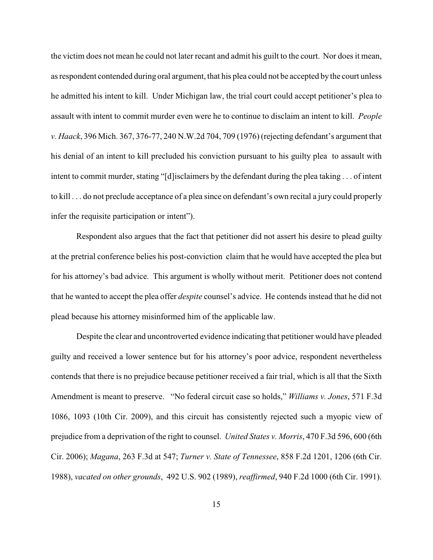the victim does not mean he could not later recant and admit his guilt to the court. Nor does it mean, as respondent contended during oral argument, that his plea could not be accepted by the court unless he admitted his intent to kill. Under Michigan law, the trial court could accept petitioner's plea to assault with intent to commit murder even were he to continue to disclaim an intent to kill. *People v. Haack*, 396 Mich. 367, 376-77, 240 N.W.2d 704, 709 (1976) (rejecting defendant's argument that his denial of an intent to kill precluded his conviction pursuant to his guilty plea to assault with intent to commit murder, stating "[d]isclaimers by the defendant during the plea taking . . . of intent to kill . . . do not preclude acceptance of a plea since on defendant's own recital a jury could properly infer the requisite participation or intent").

Respondent also argues that the fact that petitioner did not assert his desire to plead guilty at the pretrial conference belies his post-conviction claim that he would have accepted the plea but for his attorney's bad advice. This argument is wholly without merit. Petitioner does not contend that he wanted to accept the plea offer *despite* counsel's advice. He contends instead that he did not plead because his attorney misinformed him of the applicable law.

Despite the clear and uncontroverted evidence indicating that petitioner would have pleaded guilty and received a lower sentence but for his attorney's poor advice, respondent nevertheless contends that there is no prejudice because petitioner received a fair trial, which is all that the Sixth Amendment is meant to preserve. "No federal circuit case so holds," *Williams v. Jones*, 571 F.3d 1086, 1093 (10th Cir. 2009), and this circuit has consistently rejected such a myopic view of prejudice from a deprivation of the right to counsel. *United States v. Morris*, 470 F.3d 596, 600 (6th Cir. 2006); *Magana*, 263 F.3d at 547; *Turner v. State of Tennessee*, 858 F.2d 1201, 1206 (6th Cir. 1988), *vacated on other grounds*, 492 U.S. 902 (1989), *reaffirmed*, 940 F.2d 1000 (6th Cir. 1991).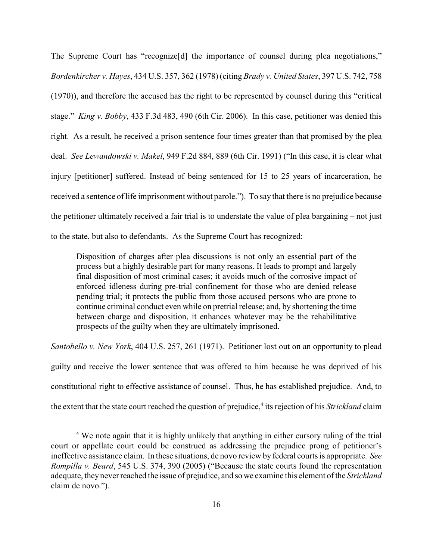The Supreme Court has "recognize<sup>[d]</sup> the importance of counsel during plea negotiations," *Bordenkircher v. Hayes*, 434 U.S. 357, 362 (1978) (citing *Brady v. United States*, 397 U.S. 742, 758 (1970)), and therefore the accused has the right to be represented by counsel during this "critical stage." *King v. Bobby*, 433 F.3d 483, 490 (6th Cir. 2006). In this case, petitioner was denied this right. As a result, he received a prison sentence four times greater than that promised by the plea deal. *See Lewandowski v. Makel*, 949 F.2d 884, 889 (6th Cir. 1991) ("In this case, it is clear what injury [petitioner] suffered. Instead of being sentenced for 15 to 25 years of incarceration, he received a sentence oflife imprisonment without parole."). To say that there is no prejudice because the petitioner ultimately received a fair trial is to understate the value of plea bargaining – not just to the state, but also to defendants. As the Supreme Court has recognized:

Disposition of charges after plea discussions is not only an essential part of the process but a highly desirable part for many reasons. It leads to prompt and largely final disposition of most criminal cases; it avoids much of the corrosive impact of enforced idleness during pre-trial confinement for those who are denied release pending trial; it protects the public from those accused persons who are prone to continue criminal conduct even while on pretrial release; and, by shortening the time between charge and disposition, it enhances whatever may be the rehabilitative prospects of the guilty when they are ultimately imprisoned.

*Santobello v. New York*, 404 U.S. 257, 261 (1971). Petitioner lost out on an opportunity to plead guilty and receive the lower sentence that was offered to him because he was deprived of his constitutional right to effective assistance of counsel. Thus, he has established prejudice. And, to the extent that the state court reached the question of prejudice,<sup>4</sup> its rejection of his *Strickland* claim

<sup>&</sup>lt;sup>4</sup> We note again that it is highly unlikely that anything in either cursory ruling of the trial court or appellate court could be construed as addressing the prejudice prong of petitioner's ineffective assistance claim. In these situations, de novo review by federal courts is appropriate. *See Rompilla v. Beard*, 545 U.S. 374, 390 (2005) ("Because the state courts found the representation adequate, they never reached the issue of prejudice, and so we examine this element of the *Strickland* claim de novo.").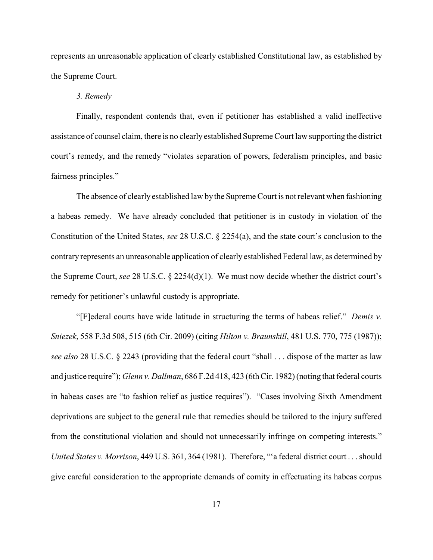represents an unreasonable application of clearly established Constitutional law, as established by the Supreme Court.

#### *3. Remedy*

Finally, respondent contends that, even if petitioner has established a valid ineffective assistance of counsel claim, there is no clearly established SupremeCourt law supporting the district court's remedy, and the remedy "violates separation of powers, federalism principles, and basic fairness principles."

The absence of clearly established law by the Supreme Court is not relevant when fashioning a habeas remedy. We have already concluded that petitioner is in custody in violation of the Constitution of the United States, *see* 28 U.S.C. § 2254(a), and the state court's conclusion to the contrary represents an unreasonable application of clearly established Federal law, as determined by the Supreme Court, *see* 28 U.S.C. § 2254(d)(1). We must now decide whether the district court's remedy for petitioner's unlawful custody is appropriate.

"[F]ederal courts have wide latitude in structuring the terms of habeas relief." *Demis v. Sniezek*, 558 F.3d 508, 515 (6th Cir. 2009) (citing *Hilton v. Braunskill*, 481 U.S. 770, 775 (1987)); *see also* 28 U.S.C. § 2243 (providing that the federal court "shall . . . dispose of the matter as law and justice require"); *Glenn v. Dallman*, 686 F.2d 418, 423 (6th Cir. 1982)(noting that federal courts in habeas cases are "to fashion relief as justice requires"). "Cases involving Sixth Amendment deprivations are subject to the general rule that remedies should be tailored to the injury suffered from the constitutional violation and should not unnecessarily infringe on competing interests." *United States v. Morrison*, 449 U.S. 361, 364 (1981). Therefore, "'a federal district court . . . should give careful consideration to the appropriate demands of comity in effectuating its habeas corpus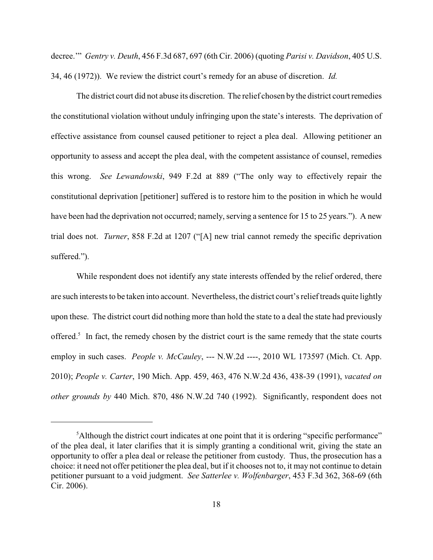decree.'" *Gentry v. Deuth*, 456 F.3d 687, 697 (6th Cir. 2006) (quoting *Parisi v. Davidson*, 405 U.S. 34, 46 (1972)). We review the district court's remedy for an abuse of discretion. *Id.*

The district court did not abuse its discretion. The relief chosen by the district court remedies the constitutional violation without unduly infringing upon the state's interests. The deprivation of effective assistance from counsel caused petitioner to reject a plea deal. Allowing petitioner an opportunity to assess and accept the plea deal, with the competent assistance of counsel, remedies this wrong. *See Lewandowski*, 949 F.2d at 889 ("The only way to effectively repair the constitutional deprivation [petitioner] suffered is to restore him to the position in which he would have been had the deprivation not occurred; namely, serving a sentence for 15 to 25 years."). A new trial does not. *Turner*, 858 F.2d at 1207 ("[A] new trial cannot remedy the specific deprivation suffered.").

While respondent does not identify any state interests offended by the relief ordered, there are such interests to be taken into account. Nevertheless, the district court'srelief treads quite lightly upon these. The district court did nothing more than hold the state to a deal the state had previously offered.<sup>5</sup> In fact, the remedy chosen by the district court is the same remedy that the state courts employ in such cases. *People v. McCauley*, --- N.W.2d ----, 2010 WL 173597 (Mich. Ct. App. 2010); *People v. Carter*, 190 Mich. App. 459, 463, 476 N.W.2d 436, 438-39 (1991), *vacated on other grounds by* 440 Mich. 870, 486 N.W.2d 740 (1992). Significantly, respondent does not

<sup>&</sup>lt;sup>5</sup>Although the district court indicates at one point that it is ordering "specific performance" of the plea deal, it later clarifies that it is simply granting a conditional writ, giving the state an opportunity to offer a plea deal or release the petitioner from custody. Thus, the prosecution has a choice: it need not offer petitioner the plea deal, but if it chooses not to, it may not continue to detain petitioner pursuant to a void judgment. *See Satterlee v. Wolfenbarger*, 453 F.3d 362, 368-69 (6th Cir. 2006).